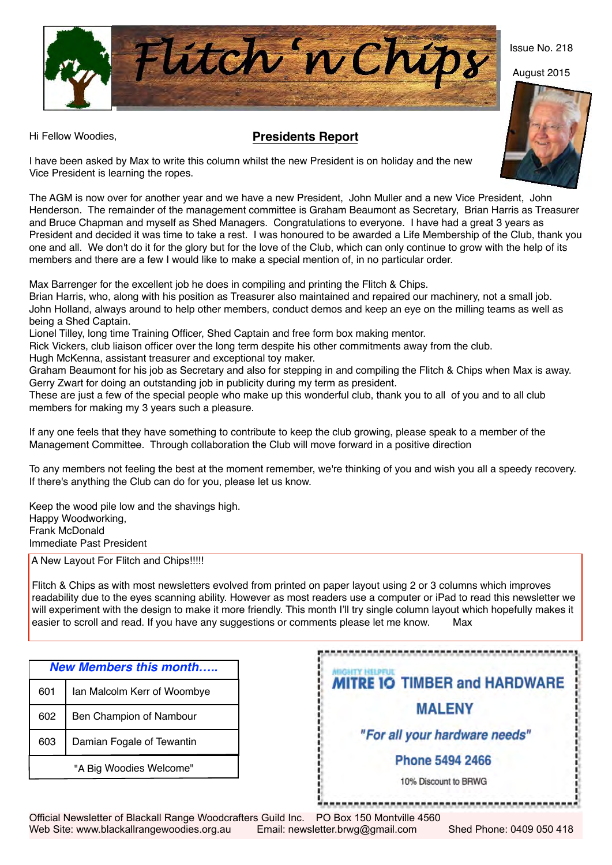Flitch 'n Chips

## Hi Fellow Woodies, **Presidents Report**



Issue No. 218

I have been asked by Max to write this column whilst the new President is on holiday and the new Vice President is learning the ropes.

The AGM is now over for another year and we have a new President, John Muller and a new Vice President, John Henderson. The remainder of the management committee is Graham Beaumont as Secretary, Brian Harris as Treasurer and Bruce Chapman and myself as Shed Managers. Congratulations to everyone. I have had a great 3 years as President and decided it was time to take a rest. I was honoured to be awarded a Life Membership of the Club, thank you one and all. We don't do it for the glory but for the love of the Club, which can only continue to grow with the help of its members and there are a few I would like to make a special mention of, in no particular order.

Max Barrenger for the excellent job he does in compiling and printing the Flitch & Chips.

Brian Harris, who, along with his position as Treasurer also maintained and repaired our machinery, not a small job. John Holland, always around to help other members, conduct demos and keep an eye on the milling teams as well as being a Shed Captain.

Lionel Tilley, long time Training Officer, Shed Captain and free form box making mentor.

Rick Vickers, club liaison officer over the long term despite his other commitments away from the club.

Hugh McKenna, assistant treasurer and exceptional toy maker.

Graham Beaumont for his job as Secretary and also for stepping in and compiling the Flitch & Chips when Max is away. Gerry Zwart for doing an outstanding job in publicity during my term as president.

These are just a few of the special people who make up this wonderful club, thank you to all of you and to all club members for making my 3 years such a pleasure.

If any one feels that they have something to contribute to keep the club growing, please speak to a member of the Management Committee. Through collaboration the Club will move forward in a positive direction

To any members not feeling the best at the moment remember, we're thinking of you and wish you all a speedy recovery. If there's anything the Club can do for you, please let us know.

Keep the wood pile low and the shavings high. Happy Woodworking, Frank McDonald Immediate Past President

A New Layout For Flitch and Chips!!!!!

 Flitch & Chips as with most newsletters evolved from printed on paper layout using 2 or 3 columns which improves readability due to the eyes scanning ability. However as most readers use a computer or iPad to read this newsletter we will experiment with the design to make it more friendly. This month I'll try single column layout which hopefully makes it easier to scroll and read. If you have any suggestions or comments please let me know. Max

| <b>New Members this month</b> |                             |  |  |  |  |  |  |
|-------------------------------|-----------------------------|--|--|--|--|--|--|
| 601                           | Ian Malcolm Kerr of Woombye |  |  |  |  |  |  |
| 602                           | Ben Champion of Nambour     |  |  |  |  |  |  |
| 603                           | Damian Fogale of Tewantin   |  |  |  |  |  |  |
| "A Big Woodies Welcome"       |                             |  |  |  |  |  |  |

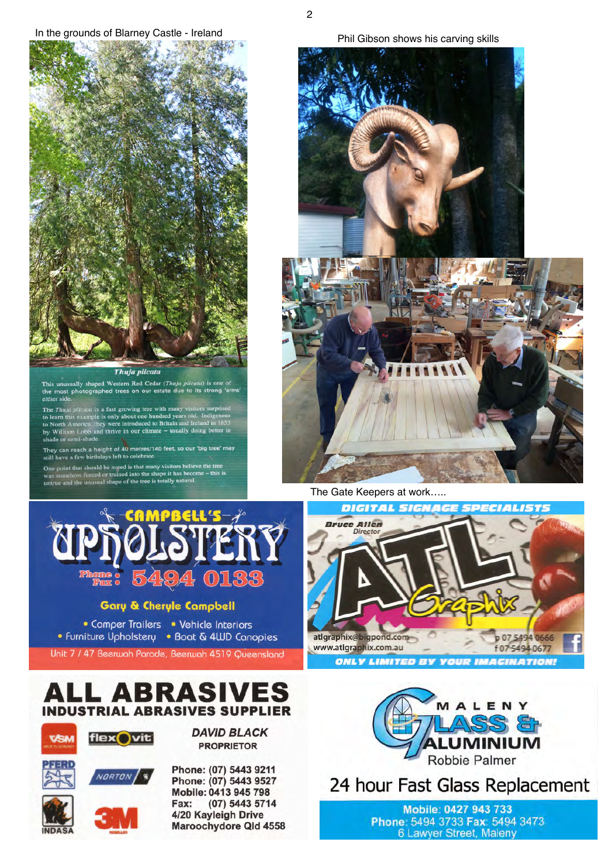In the grounds of Blarney Castle - Ireland



This unusually shaped Western Red Cedar (Thuja plicata) is one of<br>the most photographed trees on our estate due to its strong 'arms either sid

The *Thuja plicata* is a fast growing tree with many visitors surprised<br>to learn this example is only about one hundred years old. Indigenous<br>to North America, they were introduced to Britain and Ireland in 1853<br>by William

They can reach a height of 40 metres/140 feet, so our 'big tree' may<br>still have a few birthdays left to celebrate.

boint that should be noted is that many visitors believe the tree<br>omehow forced or trained into the shape it has become – this is<br>e and the unusual shape of the tree is totally natural.



The Gate Keepers at work.....



#### **Gary & Cheryle Campbell**

• Comper Trailers • Vehicle Interiors • Furniture Upholstery • Boat & 4WD Canopies

Unit 7 / 47 Beerwah Parade, Beerwah 4519 Queensland



# ALL ABRASIVES **INDUSTRIAL ABRASIVES SUPPLIER**



**DAVID BLACK PROPRIETOR** 

VORTON



Phone: (07) 5443 9211 Phone: (07) 5443 9527 Mobile: 0413 945 798 (07) 5443 5714 Fax: 4/20 Kayleigh Drive Maroochydore Qld 4558



24 hour Fast Glass Replacement

Mobile: 0427 943 733 Phone: 5494 3733 Fax: 5494 3473 6 Lawyer Street, Maleny

 $\overline{2}$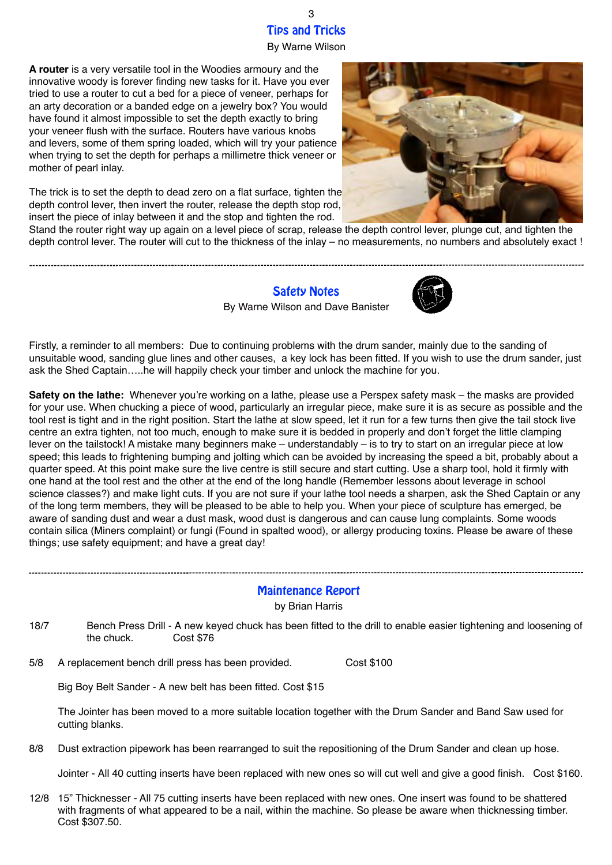By Warne Wilson

**A router** is a very versatile tool in the Woodies armoury and the innovative woody is forever finding new tasks for it. Have you ever tried to use a router to cut a bed for a piece of veneer, perhaps for an arty decoration or a banded edge on a jewelry box? You would have found it almost impossible to set the depth exactly to bring your veneer flush with the surface. Routers have various knobs and levers, some of them spring loaded, which will try your patience when trying to set the depth for perhaps a millimetre thick veneer or mother of pearl inlay.

The trick is to set the depth to dead zero on a flat surface, tighten the depth control lever, then invert the router, release the depth stop rod, insert the piece of inlay between it and the stop and tighten the rod.

Stand the router right way up again on a level piece of scrap, release the depth control lever, plunge cut, and tighten the depth control lever. The router will cut to the thickness of the inlay – no measurements, no numbers and absolutely exact !

> Safety Notes By Warne Wilson and Dave Banister



Firstly, a reminder to all members: Due to continuing problems with the drum sander, mainly due to the sanding of unsuitable wood, sanding glue lines and other causes, a key lock has been fitted. If you wish to use the drum sander, just ask the Shed Captain…..he will happily check your timber and unlock the machine for you.

**Safety on the lathe:** Whenever you're working on a lathe, please use a Perspex safety mask – the masks are provided for your use. When chucking a piece of wood, particularly an irregular piece, make sure it is as secure as possible and the tool rest is tight and in the right position. Start the lathe at slow speed, let it run for a few turns then give the tail stock live centre an extra tighten, not too much, enough to make sure it is bedded in properly and don't forget the little clamping lever on the tailstock! A mistake many beginners make – understandably – is to try to start on an irregular piece at low speed; this leads to frightening bumping and jolting which can be avoided by increasing the speed a bit, probably about a quarter speed. At this point make sure the live centre is still secure and start cutting. Use a sharp tool, hold it firmly with one hand at the tool rest and the other at the end of the long handle (Remember lessons about leverage in school science classes?) and make light cuts. If you are not sure if your lathe tool needs a sharpen, ask the Shed Captain or any of the long term members, they will be pleased to be able to help you. When your piece of sculpture has emerged, be aware of sanding dust and wear a dust mask, wood dust is dangerous and can cause lung complaints. Some woods contain silica (Miners complaint) or fungi (Found in spalted wood), or allergy producing toxins. Please be aware of these things; use safety equipment; and have a great day!

### Maintenance Report

by Brian Harris

18/7 Bench Press Drill - A new keyed chuck has been fitted to the drill to enable easier tightening and loosening of the chuck. Cost \$76

5/8 A replacement bench drill press has been provided. Cost \$100

Big Boy Belt Sander - A new belt has been fitted. Cost \$15

The Jointer has been moved to a more suitable location together with the Drum Sander and Band Saw used for cutting blanks.

8/8 Dust extraction pipework has been rearranged to suit the repositioning of the Drum Sander and clean up hose.

Jointer - All 40 cutting inserts have been replaced with new ones so will cut well and give a good finish. Cost \$160.

12/8 15" Thicknesser - All 75 cutting inserts have been replaced with new ones. One insert was found to be shattered with fragments of what appeared to be a nail, within the machine. So please be aware when thicknessing timber. Cost \$307.50.

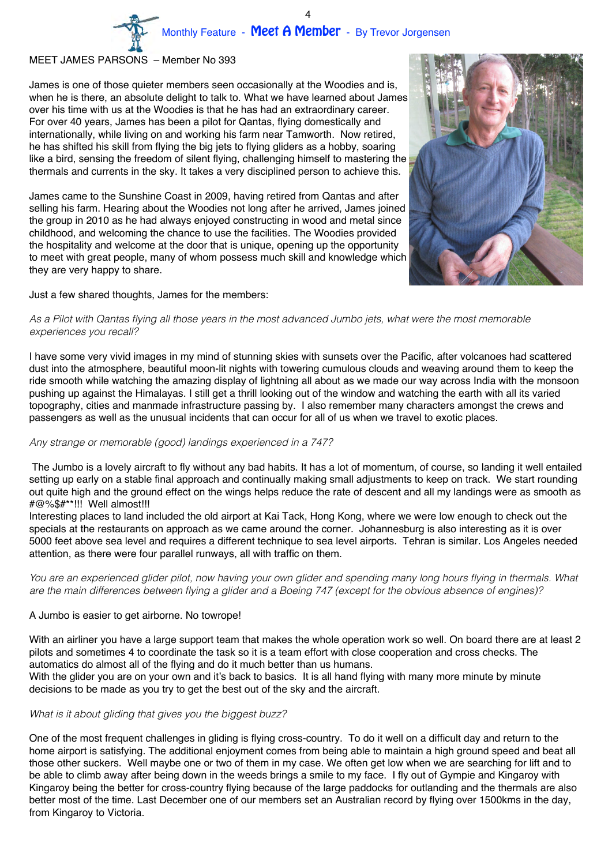#### MEET JAMES PARSONS – Member No 393

James is one of those quieter members seen occasionally at the Woodies and is, when he is there, an absolute delight to talk to. What we have learned about James over his time with us at the Woodies is that he has had an extraordinary career. For over 40 years, James has been a pilot for Qantas, flying domestically and internationally, while living on and working his farm near Tamworth. Now retired, he has shifted his skill from flying the big jets to flying gliders as a hobby, soaring like a bird, sensing the freedom of silent flying, challenging himself to mastering the thermals and currents in the sky. It takes a very disciplined person to achieve this.

James came to the Sunshine Coast in 2009, having retired from Qantas and after selling his farm. Hearing about the Woodies not long after he arrived, James joined the group in 2010 as he had always enjoyed constructing in wood and metal since childhood, and welcoming the chance to use the facilities. The Woodies provided the hospitality and welcome at the door that is unique, opening up the opportunity to meet with great people, many of whom possess much skill and knowledge which they are very happy to share.

Just a few shared thoughts, James for the members:

#### *As a Pilot with Qantas flying all those years in the most advanced Jumbo jets, what were the most memorable experiences you recall?*

I have some very vivid images in my mind of stunning skies with sunsets over the Pacific, after volcanoes had scattered dust into the atmosphere, beautiful moon-lit nights with towering cumulous clouds and weaving around them to keep the ride smooth while watching the amazing display of lightning all about as we made our way across India with the monsoon pushing up against the Himalayas. I still get a thrill looking out of the window and watching the earth with all its varied topography, cities and manmade infrastructure passing by. I also remember many characters amongst the crews and passengers as well as the unusual incidents that can occur for all of us when we travel to exotic places.

#### *Any strange or memorable (good) landings experienced in a 747?*

 The Jumbo is a lovely aircraft to fly without any bad habits. It has a lot of momentum, of course, so landing it well entailed setting up early on a stable final approach and continually making small adjustments to keep on track. We start rounding out quite high and the ground effect on the wings helps reduce the rate of descent and all my landings were as smooth as #@%\$#\*\*!!! Well almost!!!

Interesting places to land included the old airport at Kai Tack, Hong Kong, where we were low enough to check out the specials at the restaurants on approach as we came around the corner. Johannesburg is also interesting as it is over 5000 feet above sea level and requires a different technique to sea level airports. Tehran is similar. Los Angeles needed attention, as there were four parallel runways, all with traffic on them.

*You are an experienced glider pilot, now having your own glider and spending many long hours flying in thermals. What are the main differences between flying a glider and a Boeing 747 (except for the obvious absence of engines)?* 

#### A Jumbo is easier to get airborne. No towrope!

With an airliner you have a large support team that makes the whole operation work so well. On board there are at least 2 pilots and sometimes 4 to coordinate the task so it is a team effort with close cooperation and cross checks. The automatics do almost all of the flying and do it much better than us humans.

With the glider you are on your own and it's back to basics. It is all hand flying with many more minute by minute decisions to be made as you try to get the best out of the sky and the aircraft.

### *What is it about gliding that gives you the biggest buzz?*

One of the most frequent challenges in gliding is flying cross-country. To do it well on a difficult day and return to the home airport is satisfying. The additional enjoyment comes from being able to maintain a high ground speed and beat all those other suckers. Well maybe one or two of them in my case. We often get low when we are searching for lift and to be able to climb away after being down in the weeds brings a smile to my face. I fly out of Gympie and Kingaroy with Kingaroy being the better for cross-country flying because of the large paddocks for outlanding and the thermals are also better most of the time. Last December one of our members set an Australian record by flying over 1500kms in the day, from Kingaroy to Victoria.

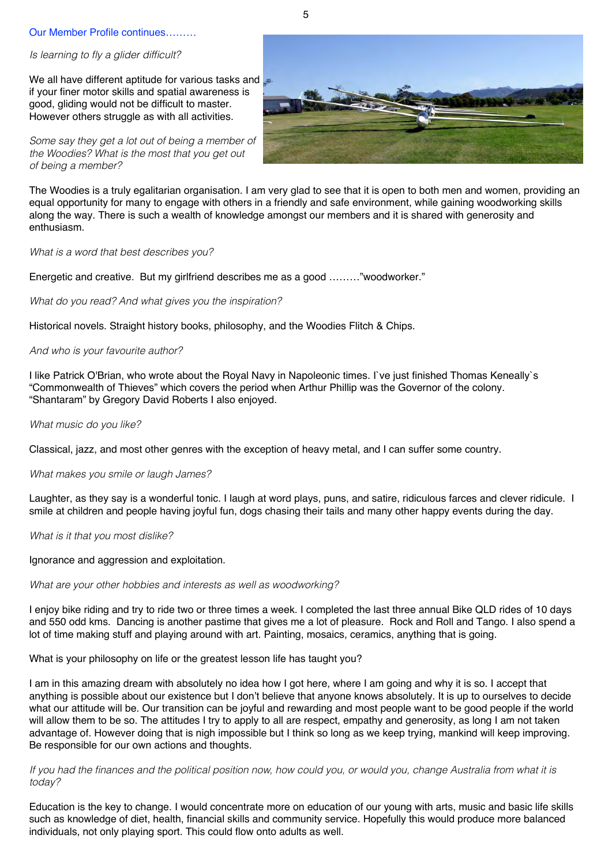#### Our Member Profile continues………

#### *Is learning to fly a glider difficult?*

We all have different aptitude for various tasks and if your finer motor skills and spatial awareness is good, gliding would not be difficult to master. However others struggle as with all activities.

*Some say they get a lot out of being a member of the Woodies? What is the most that you get out of being a member?*



The Woodies is a truly egalitarian organisation. I am very glad to see that it is open to both men and women, providing an equal opportunity for many to engage with others in a friendly and safe environment, while gaining woodworking skills along the way. There is such a wealth of knowledge amongst our members and it is shared with generosity and enthusiasm.

*What is a word that best describes you?*

Energetic and creative. But my girlfriend describes me as a good ………"woodworker."

*What do you read? And what gives you the inspiration?*

Historical novels. Straight history books, philosophy, and the Woodies Flitch & Chips.

#### *And who is your favourite author?*

I like Patrick O'Brian, who wrote about the Royal Navy in Napoleonic times. I`ve just finished Thomas Keneally`s "Commonwealth of Thieves" which covers the period when Arthur Phillip was the Governor of the colony. "Shantaram" by Gregory David Roberts I also enjoyed.

*What music do you like?*

Classical, jazz, and most other genres with the exception of heavy metal, and I can suffer some country.

#### *What makes you smile or laugh James?*

Laughter, as they say is a wonderful tonic. I laugh at word plays, puns, and satire, ridiculous farces and clever ridicule. I smile at children and people having joyful fun, dogs chasing their tails and many other happy events during the day.

*What is it that you most dislike?*

Ignorance and aggression and exploitation.

#### *What are your other hobbies and interests as well as woodworking?*

I enjoy bike riding and try to ride two or three times a week. I completed the last three annual Bike QLD rides of 10 days and 550 odd kms. Dancing is another pastime that gives me a lot of pleasure. Rock and Roll and Tango. I also spend a lot of time making stuff and playing around with art. Painting, mosaics, ceramics, anything that is going.

What is your philosophy on life or the greatest lesson life has taught you?

I am in this amazing dream with absolutely no idea how I got here, where I am going and why it is so. I accept that anything is possible about our existence but I don't believe that anyone knows absolutely. It is up to ourselves to decide what our attitude will be. Our transition can be joyful and rewarding and most people want to be good people if the world will allow them to be so. The attitudes I try to apply to all are respect, empathy and generosity, as long I am not taken advantage of. However doing that is nigh impossible but I think so long as we keep trying, mankind will keep improving. Be responsible for our own actions and thoughts.

#### *If you had the finances and the political position now, how could you, or would you, change Australia from what it is today?*

Education is the key to change. I would concentrate more on education of our young with arts, music and basic life skills such as knowledge of diet, health, financial skills and community service. Hopefully this would produce more balanced individuals, not only playing sport. This could flow onto adults as well.